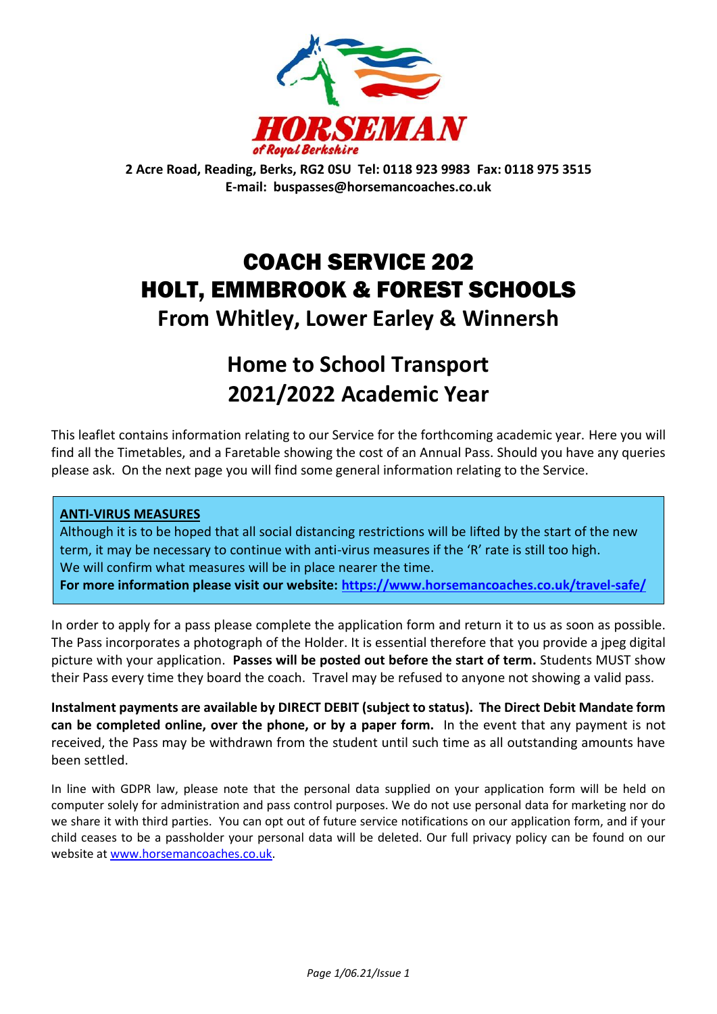

**2 Acre Road, Reading, Berks, RG2 0SU Tel: 0118 923 9983 Fax: 0118 975 3515 E-mail: buspasses@horsemancoaches.co.uk**

# COACH SERVICE 202 HOLT, EMMBROOK & FOREST SCHOOLS **From Whitley, Lower Earley & Winnersh**

# **Home to School Transport 2021/2022 Academic Year**

This leaflet contains information relating to our Service for the forthcoming academic year. Here you will find all the Timetables, and a Faretable showing the cost of an Annual Pass. Should you have any queries please ask. On the next page you will find some general information relating to the Service.

### **ANTI-VIRUS MEASURES**

Although it is to be hoped that all social distancing restrictions will be lifted by the start of the new term, it may be necessary to continue with anti-virus measures if the 'R' rate is still too high. We will confirm what measures will be in place nearer the time.

**For more information please visit our website:<https://www.horsemancoaches.co.uk/travel-safe/>**

In order to apply for a pass please complete the application form and return it to us as soon as possible. The Pass incorporates a photograph of the Holder. It is essential therefore that you provide a jpeg digital picture with your application. **Passes will be posted out before the start of term.** Students MUST show their Pass every time they board the coach. Travel may be refused to anyone not showing a valid pass.

**Instalment payments are available by DIRECT DEBIT (subject to status). The Direct Debit Mandate form can be completed online, over the phone, or by a paper form.** In the event that any payment is not received, the Pass may be withdrawn from the student until such time as all outstanding amounts have been settled.

In line with GDPR law, please note that the personal data supplied on your application form will be held on computer solely for administration and pass control purposes. We do not use personal data for marketing nor do we share it with third parties. You can opt out of future service notifications on our application form, and if your child ceases to be a passholder your personal data will be deleted. Our full privacy policy can be found on our website a[t www.horsemancoaches.co.uk.](http://www.horsemancoaches.co.uk/)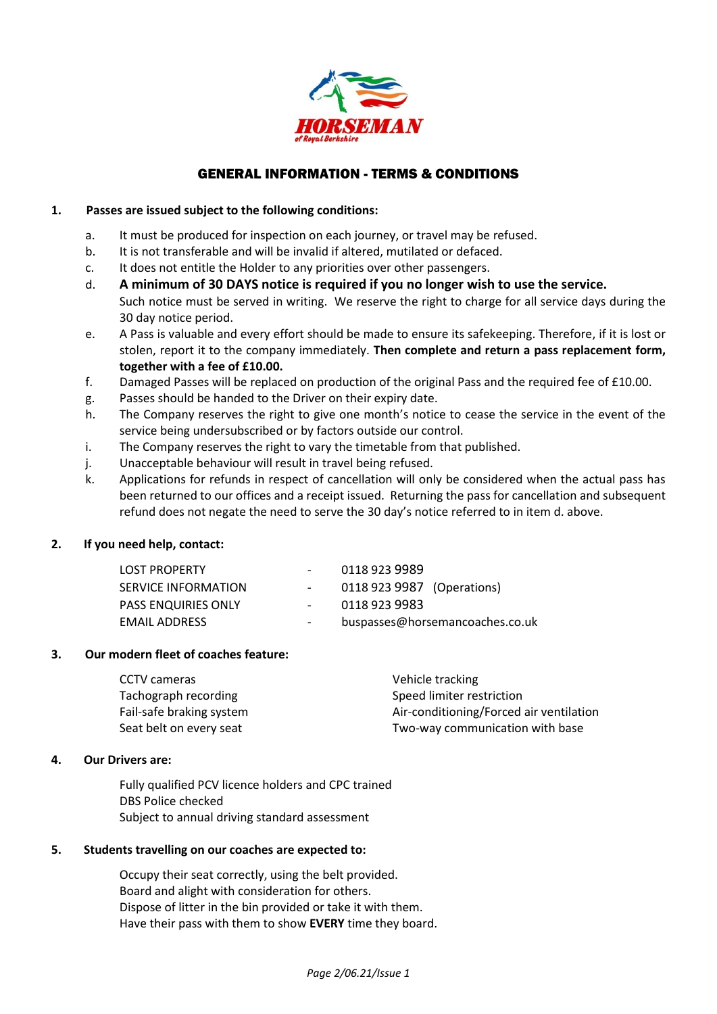

#### GENERAL INFORMATION - TERMS & CONDITIONS

#### **1. Passes are issued subject to the following conditions:**

- a. It must be produced for inspection on each journey, or travel may be refused.
- b. It is not transferable and will be invalid if altered, mutilated or defaced.
- c. It does not entitle the Holder to any priorities over other passengers.
- d. **A minimum of 30 DAYS notice is required if you no longer wish to use the service.** Such notice must be served in writing. We reserve the right to charge for all service days during the 30 day notice period.
- e. A Pass is valuable and every effort should be made to ensure its safekeeping. Therefore, if it is lost or stolen, report it to the company immediately. **Then complete and return a pass replacement form, together with a fee of £10.00.**
- f. Damaged Passes will be replaced on production of the original Pass and the required fee of £10.00.
- g. Passes should be handed to the Driver on their expiry date.
- h. The Company reserves the right to give one month's notice to cease the service in the event of the service being undersubscribed or by factors outside our control.
- i. The Company reserves the right to vary the timetable from that published.
- j. Unacceptable behaviour will result in travel being refused.
- k. Applications for refunds in respect of cancellation will only be considered when the actual pass has been returned to our offices and a receipt issued. Returning the pass for cancellation and subsequent refund does not negate the need to serve the 30 day's notice referred to in item d. above.

#### **2. If you need help, contact:**

| <b>LOST PROPERTY</b>       | $\sim$                   | 0118 923 9989              |                                 |
|----------------------------|--------------------------|----------------------------|---------------------------------|
| SERVICE INFORMATION        |                          | 0118 923 9987 (Operations) |                                 |
| <b>PASS ENQUIRIES ONLY</b> | $\overline{\phantom{a}}$ | 0118 923 9983              |                                 |
| EMAIL ADDRESS              | $\overline{\phantom{a}}$ |                            | buspasses@horsemancoaches.co.uk |
|                            |                          |                            |                                 |

#### **3. Our modern fleet of coaches feature:**

| CCTV cameras             | Vehicle tracking                        |
|--------------------------|-----------------------------------------|
| Tachograph recording     | Speed limiter restriction               |
| Fail-safe braking system | Air-conditioning/Forced air ventilation |
| Seat belt on every seat  | Two-way communication with base         |

#### **4. Our Drivers are:**

Fully qualified PCV licence holders and CPC trained DBS Police checked Subject to annual driving standard assessment

#### **5. Students travelling on our coaches are expected to:**

Occupy their seat correctly, using the belt provided. Board and alight with consideration for others. Dispose of litter in the bin provided or take it with them. Have their pass with them to show **EVERY** time they board.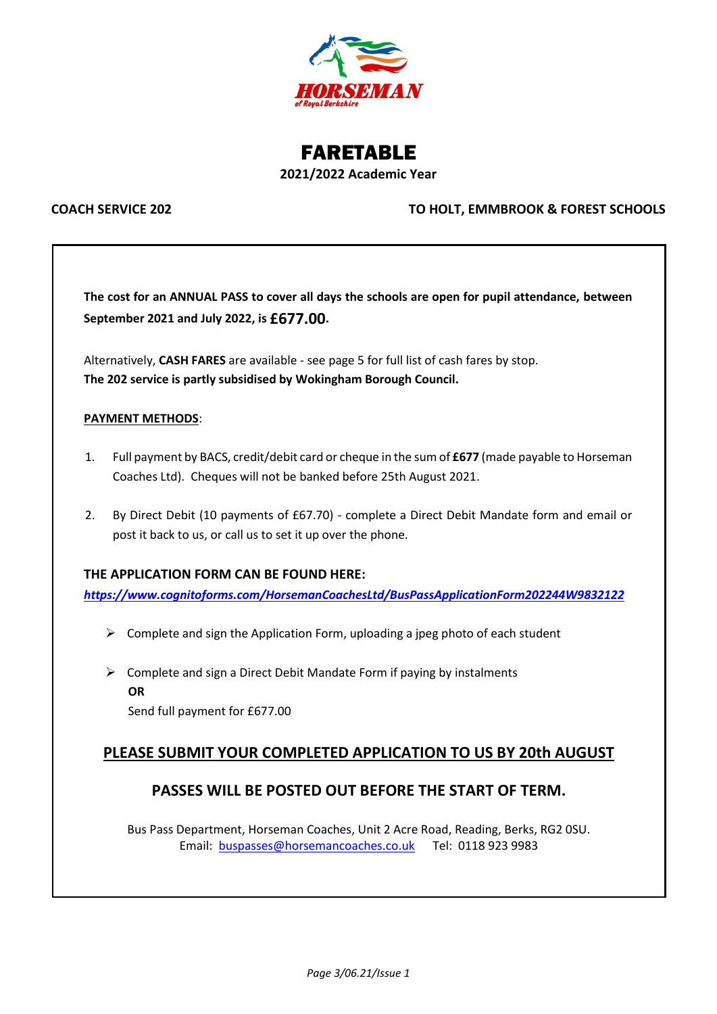

## FARETABLE **2021/2022 Academic Year**

#### **COACH SERVICE 202 TO HOLT, EMMBROOK & FOREST SCHOOLS**

**The cost for an ANNUAL PASS to cover all days the schools are open for pupil attendance, between September 2021 and July 2022, is £677.00.**

Alternatively, **CASH FARES** are available - see page 5 for full list of cash fares by stop. **The 202 service is partly subsidised by Wokingham Borough Council.**

#### **PAYMENT METHODS**:

- 1. Full payment by BACS, credit/debit card or cheque in the sum of **£677** (made payable to Horseman Coaches Ltd). Cheques will not be banked before 25th August 2021.
- 2. By Direct Debit (10 payments of £67.70) complete a Direct Debit Mandate form and email or post it back to us, or call us to set it up over the phone.

#### **THE APPLICATION FORM CAN BE FOUND HERE:**

*<https://www.cognitoforms.com/HorsemanCoachesLtd/BusPassApplicationForm202244W9832122>*

- $\triangleright$  Complete and sign the Application Form, uploading a jpeg photo of each student
- $\triangleright$  Complete and sign a Direct Debit Mandate Form if paying by instalments **OR** Send full payment for £677.00

### **PLEASE SUBMIT YOUR COMPLETED APPLICATION TO US BY 20th AUGUST**

#### **PASSES WILL BE POSTED OUT BEFORE THE START OF TERM.**

Bus Pass Department, Horseman Coaches, Unit 2 Acre Road, Reading, Berks, RG2 0SU. Email: [buspasses@horsemancoaches.co.uk](mailto:buspasses@horsemancoaches.co.uk) Tel: 0118 923 9983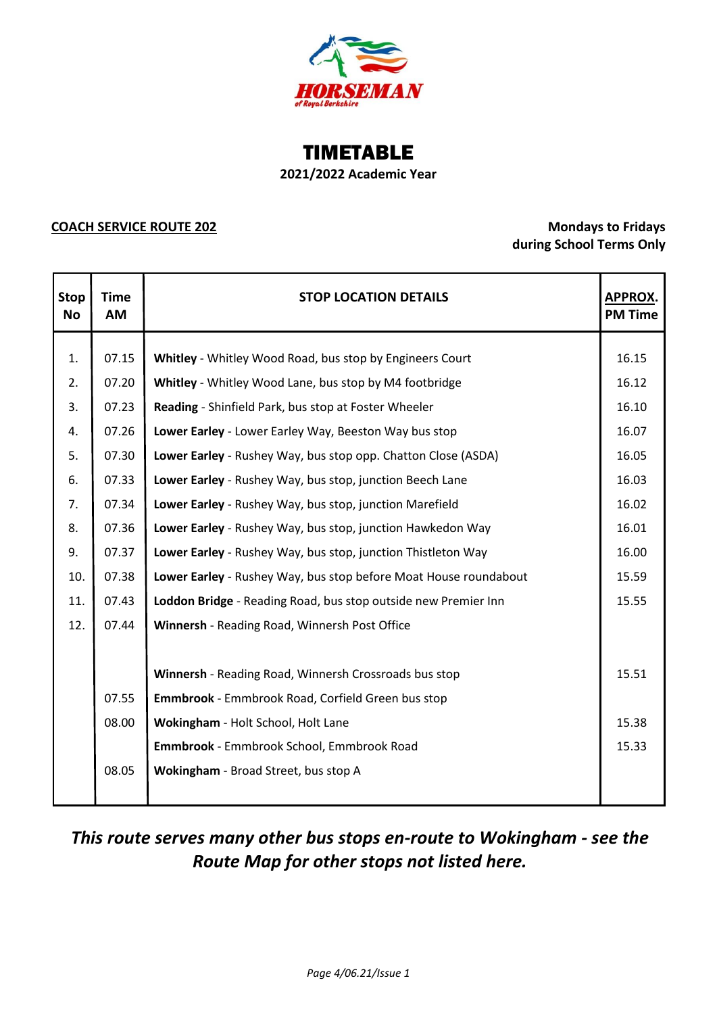

## TIMETABLE **2021/2022 Academic Year**

#### **COACH SERVICE ROUTE 202 Mondays to Fridays**

# **during School Terms Only**

| <b>Stop</b><br><b>No</b> | <b>Time</b><br>AM | <b>STOP LOCATION DETAILS</b><br>APPROX.<br><b>PM Time</b>        |       |  |
|--------------------------|-------------------|------------------------------------------------------------------|-------|--|
|                          |                   |                                                                  |       |  |
| 1.                       | 07.15             | Whitley - Whitley Wood Road, bus stop by Engineers Court         | 16.15 |  |
| 2.                       | 07.20             | Whitley - Whitley Wood Lane, bus stop by M4 footbridge           | 16.12 |  |
| 3.                       | 07.23             | Reading - Shinfield Park, bus stop at Foster Wheeler             | 16.10 |  |
| 4.                       | 07.26             | Lower Earley - Lower Earley Way, Beeston Way bus stop            | 16.07 |  |
| 5.                       | 07.30             | Lower Earley - Rushey Way, bus stop opp. Chatton Close (ASDA)    | 16.05 |  |
| 6.                       | 07.33             | Lower Earley - Rushey Way, bus stop, junction Beech Lane         | 16.03 |  |
| 7.                       | 07.34             | Lower Earley - Rushey Way, bus stop, junction Marefield          | 16.02 |  |
| 8.                       | 07.36             | Lower Earley - Rushey Way, bus stop, junction Hawkedon Way       | 16.01 |  |
| 9.                       | 07.37             | Lower Earley - Rushey Way, bus stop, junction Thistleton Way     | 16.00 |  |
| 10.                      | 07.38             | Lower Earley - Rushey Way, bus stop before Moat House roundabout | 15.59 |  |
| 11.                      | 07.43             | Loddon Bridge - Reading Road, bus stop outside new Premier Inn   | 15.55 |  |
| 12.                      | 07.44             | Winnersh - Reading Road, Winnersh Post Office                    |       |  |
|                          |                   |                                                                  |       |  |
|                          |                   | Winnersh - Reading Road, Winnersh Crossroads bus stop            | 15.51 |  |
|                          | 07.55             | Emmbrook - Emmbrook Road, Corfield Green bus stop                |       |  |
|                          | 08.00             | Wokingham - Holt School, Holt Lane                               | 15.38 |  |
|                          |                   | Emmbrook - Emmbrook School, Emmbrook Road                        | 15.33 |  |
|                          | 08.05             | Wokingham - Broad Street, bus stop A                             |       |  |
|                          |                   |                                                                  |       |  |

# *This route serves many other bus stops en-route to Wokingham - see the Route Map for other stops not listed here.*